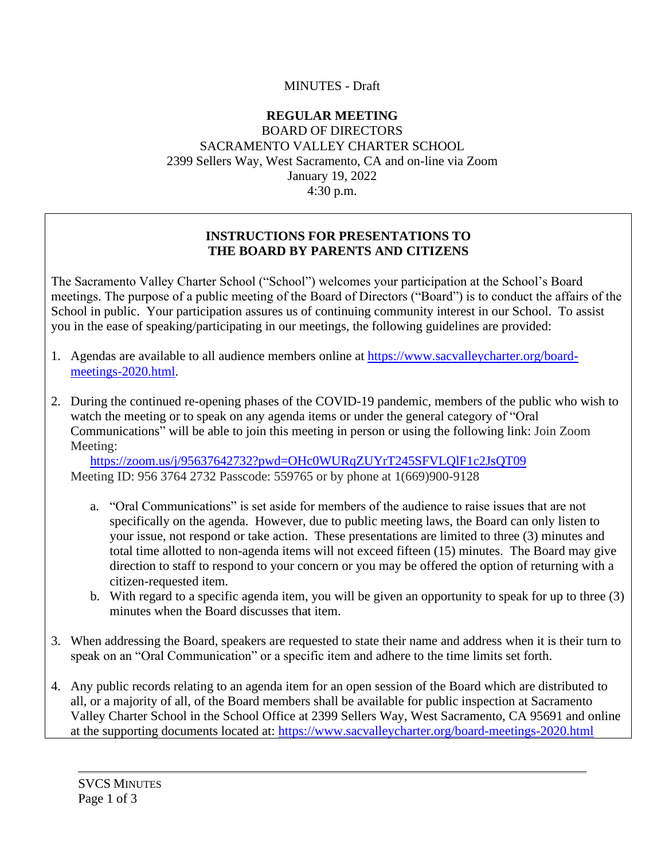# MINUTES - Draft

## **REGULAR MEETING** BOARD OF DIRECTORS SACRAMENTO VALLEY CHARTER SCHOOL 2399 Sellers Way, West Sacramento, CA and on-line via Zoom January 19, 2022 4:30 p.m.

### **INSTRUCTIONS FOR PRESENTATIONS TO THE BOARD BY PARENTS AND CITIZENS**

The Sacramento Valley Charter School ("School") welcomes your participation at the School's Board meetings. The purpose of a public meeting of the Board of Directors ("Board") is to conduct the affairs of the School in public. Your participation assures us of continuing community interest in our School. To assist you in the ease of speaking/participating in our meetings, the following guidelines are provided:

- 1. Agendas are available to all audience members online at [https://www.sacvalleycharter.org/board](about:blank)[meetings-2020.html.](about:blank)
- 2. During the continued re-opening phases of the COVID-19 pandemic, members of the public who wish to watch the meeting or to speak on any agenda items or under the general category of "Oral Communications" will be able to join this meeting in person or using the following link: Join Zoom Meeting:

<https://zoom.us/j/95637642732?pwd=OHc0WURqZUYrT245SFVLQlF1c2JsQT09> Meeting ID: 956 3764 2732 Passcode: 559765 or by phone at 1(669)900-9128

- a. "Oral Communications" is set aside for members of the audience to raise issues that are not specifically on the agenda. However, due to public meeting laws, the Board can only listen to your issue, not respond or take action. These presentations are limited to three (3) minutes and total time allotted to non-agenda items will not exceed fifteen (15) minutes. The Board may give direction to staff to respond to your concern or you may be offered the option of returning with a citizen-requested item.
- b. With regard to a specific agenda item, you will be given an opportunity to speak for up to three (3) minutes when the Board discusses that item.
- 3. When addressing the Board, speakers are requested to state their name and address when it is their turn to speak on an "Oral Communication" or a specific item and adhere to the time limits set forth.
- 4. Any public records relating to an agenda item for an open session of the Board which are distributed to all, or a majority of all, of the Board members shall be available for public inspection at Sacramento Valley Charter School in the School Office at 2399 Sellers Way, West Sacramento, CA 95691 and online at the supporting documents located at: [https://www.sacvalleycharter.org/board-meetings-2020.html](about:blank)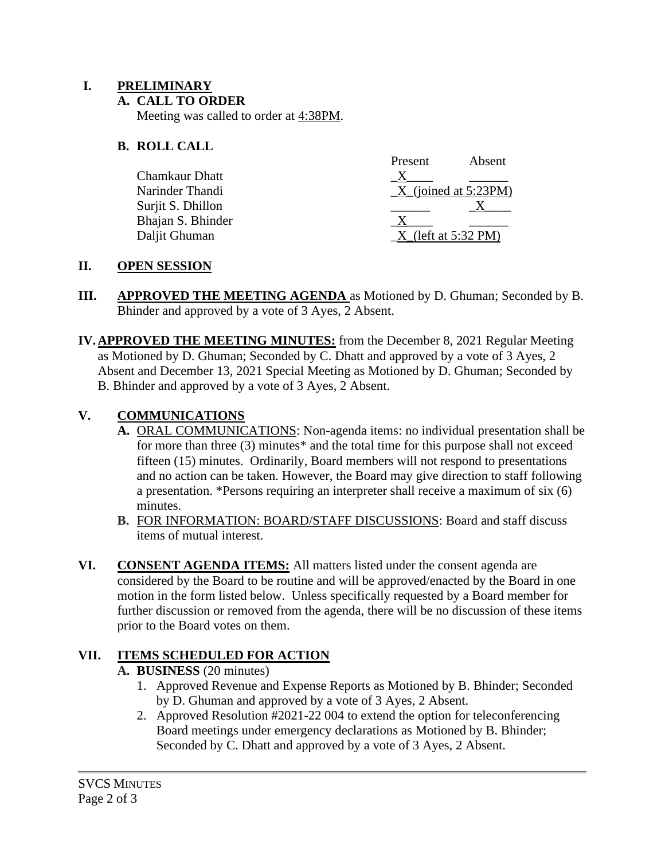## **I. PRELIMINARY**

### **A. CALL TO ORDER**

Meeting was called to order at 4:38PM.

## **B. ROLL CALL**

| Present | Absent                 |
|---------|------------------------|
|         |                        |
|         | $X$ (joined at 5:23PM) |
|         |                        |
|         |                        |
|         |                        |
|         | $X$ (left at 5:32 PM)  |

### **II. OPEN SESSION**

- **III. APPROVED THE MEETING AGENDA** as Motioned by D. Ghuman; Seconded by B. Bhinder and approved by a vote of 3 Ayes, 2 Absent.
- **IV.APPROVED THE MEETING MINUTES:** from the December 8, 2021 Regular Meeting as Motioned by D. Ghuman; Seconded by C. Dhatt and approved by a vote of 3 Ayes, 2 Absent and December 13, 2021 Special Meeting as Motioned by D. Ghuman; Seconded by B. Bhinder and approved by a vote of 3 Ayes, 2 Absent.

## **V. COMMUNICATIONS**

- **A.** ORAL COMMUNICATIONS: Non-agenda items: no individual presentation shall be for more than three (3) minutes\* and the total time for this purpose shall not exceed fifteen (15) minutes. Ordinarily, Board members will not respond to presentations and no action can be taken. However, the Board may give direction to staff following a presentation. \*Persons requiring an interpreter shall receive a maximum of six (6) minutes.
- **B.** FOR INFORMATION: BOARD/STAFF DISCUSSIONS: Board and staff discuss items of mutual interest.
- **VI. CONSENT AGENDA ITEMS:** All matters listed under the consent agenda are considered by the Board to be routine and will be approved/enacted by the Board in one motion in the form listed below. Unless specifically requested by a Board member for further discussion or removed from the agenda, there will be no discussion of these items prior to the Board votes on them.

# **VII. ITEMS SCHEDULED FOR ACTION**

### **A. BUSINESS** (20 minutes)

- 1. Approved Revenue and Expense Reports as Motioned by B. Bhinder; Seconded by D. Ghuman and approved by a vote of 3 Ayes, 2 Absent.
- 2. Approved Resolution #2021-22 004 to extend the option for teleconferencing Board meetings under emergency declarations as Motioned by B. Bhinder; Seconded by C. Dhatt and approved by a vote of 3 Ayes, 2 Absent.